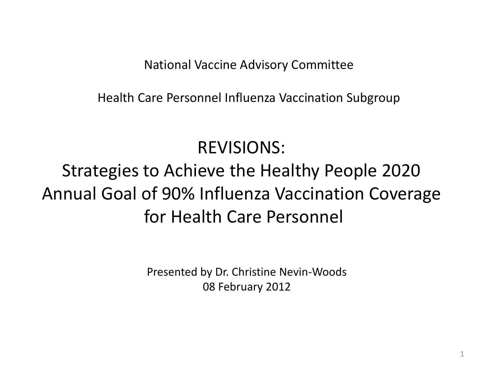National Vaccine Advisory Committee

Health Care Personnel Influenza Vaccination Subgroup

## REVISIONS:

# Strategies to Achieve the Healthy People 2020 Annual Goal of 90% Influenza Vaccination Coverage for Health Care Personnel

Presented by Dr. Christine Nevin-Woods 08 February 2012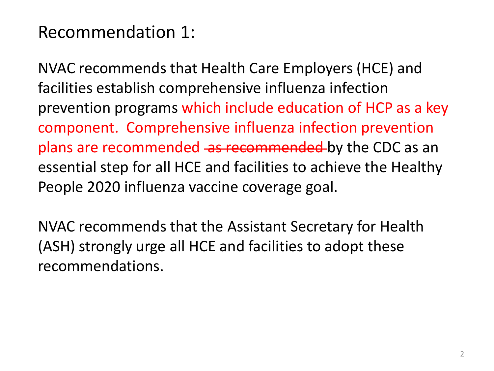#### Recommendation 1:

NVAC recommends that Health Care Employers (HCE) and facilities establish comprehensive influenza infection prevention programs which include education of HCP as a key component. Comprehensive influenza infection prevention plans are recommended as recommended by the CDC as an essential step for all HCE and facilities to achieve the Healthy People 2020 influenza vaccine coverage goal.

NVAC recommends that the Assistant Secretary for Health (ASH) strongly urge all HCE and facilities to adopt these recommendations.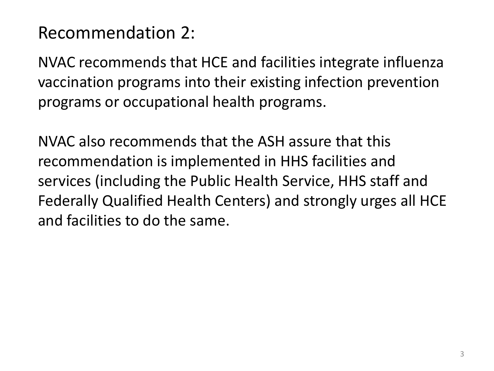### Recommendation 2:

NVAC recommends that HCE and facilities integrate influenza vaccination programs into their existing infection prevention programs or occupational health programs.

NVAC also recommends that the ASH assure that this recommendation is implemented in HHS facilities and services (including the Public Health Service, HHS staff and Federally Qualified Health Centers) and strongly urges all HCE and facilities to do the same.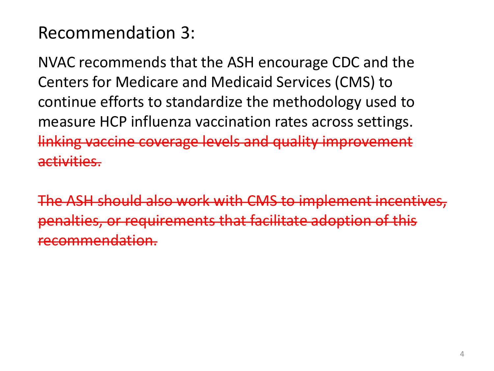### Recommendation 3:

NVAC recommends that the ASH encourage CDC and the Centers for Medicare and Medicaid Services (CMS) to continue efforts to standardize the methodology used to measure HCP influenza vaccination rates across settings. linking vaccine coverage levels and quality improvement activities.

The ASH should also work with CMS to implement incentives, penalties, or requirements that facilitate adoption of this recommendation.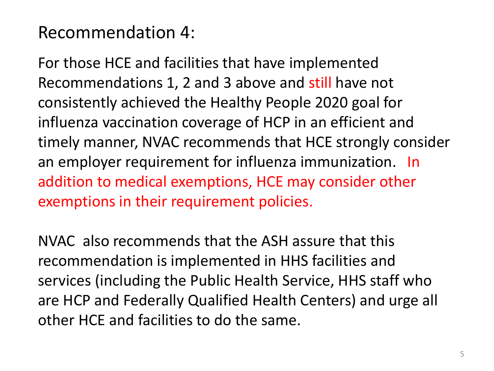### Recommendation 4:

For those HCE and facilities that have implemented Recommendations 1, 2 and 3 above and still have not consistently achieved the Healthy People 2020 goal for influenza vaccination coverage of HCP in an efficient and timely manner, NVAC recommends that HCE strongly consider an employer requirement for influenza immunization. In addition to medical exemptions, HCE may consider other exemptions in their requirement policies.

NVAC also recommends that the ASH assure that this recommendation is implemented in HHS facilities and services (including the Public Health Service, HHS staff who are HCP and Federally Qualified Health Centers) and urge all other HCE and facilities to do the same.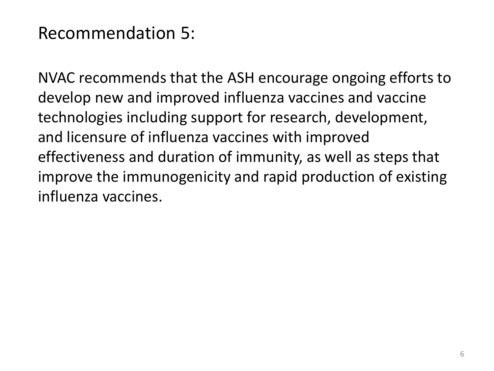#### Recommendation 5:

NVAC recommends that the ASH encourage ongoing efforts to develop new and improved influenza vaccines and vaccine technologies including support for research, development, and licensure of influenza vaccines with improved effectiveness and duration of immunity, as well as steps that improve the immunogenicity and rapid production of existing influenza vaccines.